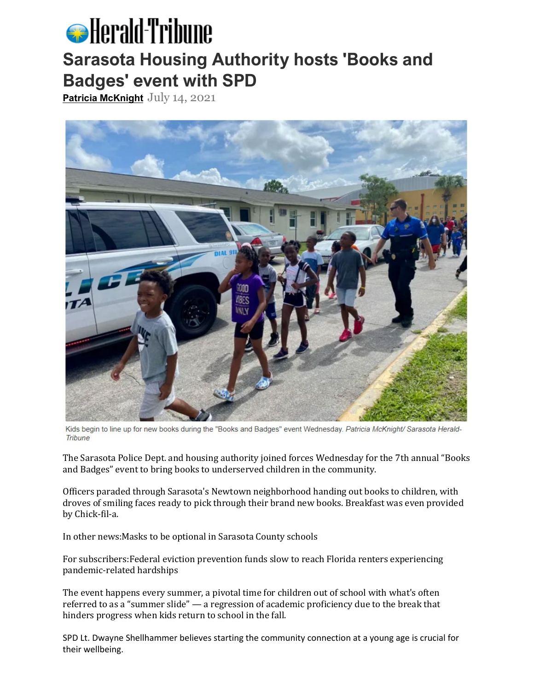## **S** Herald-Tribune **Sarasota Housing Authority hosts 'Books and Badges' event with SPD**

**[Patricia McKnight](https://www.heraldtribune.com/staff/5081597002/patricia-mcknight/)** July 14, 2021



Kids begin to line up for new books during the "Books and Badges" event Wednesday. Patricia McKnight/ Sarasota Herald-Tribune

The Sarasota Police Dept. and housing authority joined forces Wednesday for the 7th annual "Books and Badges" event to bring books to underserved children in the community.

Officers paraded through Sarasota's Newtown neighborhood handing out books to children, with droves of smiling faces ready to pick through their brand new books. Breakfast was even provided by Chick-fil-a.

In other news:Masks to be optional in Sarasota County schools

For subscribers:Federal eviction prevention funds slow to reach Florida renters experiencing pandemic-related hardships

The event happens every summer, a pivotal time for children out of school with what's often referred to as a "summer slide" — a regression of academic proficiency due to the break that hinders progress when kids return to school in the fall.

SPD Lt. Dwayne Shellhammer believes starting the community connection at a young age is crucial for their wellbeing.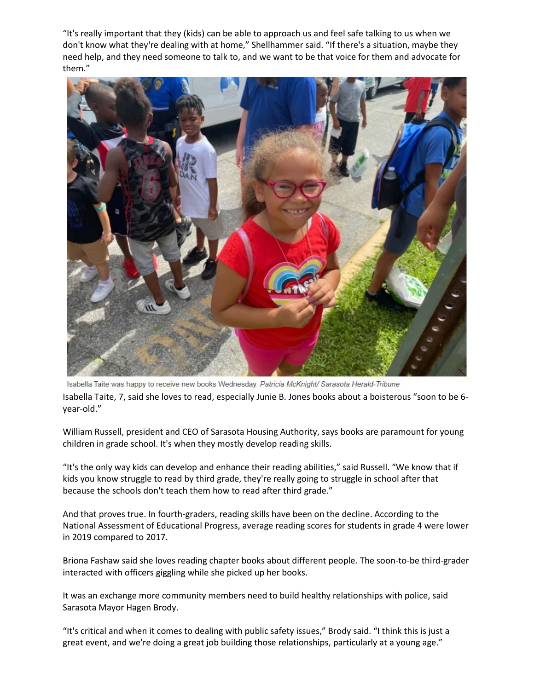"It's really important that they (kids) can be able to approach us and feel safe talking to us when we don't know what they're dealing with at home," Shellhammer said. "If there's a situation, maybe they need help, and they need someone to talk to, and we want to be that voice for them and advocate for them."



Isabella Taite was happy to receive new books Wednesday. Patricia McKnight/ Sarasota Herald-Tribune Isabella Taite, 7, said she loves to read, especially Junie B. Jones books about a boisterous "soon to be 6 year-old."

William Russell, president and CEO of Sarasota Housing Authority, says books are paramount for young children in grade school. It's when they mostly develop reading skills.

"It's the only way kids can develop and enhance their reading abilities," said Russell. "We know that if kids you know struggle to read by third grade, they're really going to struggle in school after that because the schools don't teach them how to read after third grade."

And that proves true. In fourth-graders, reading skills have been on the decline. According to the National Assessment of Educational Progress, average reading scores for students in grade 4 were lower in 2019 compared to 2017.

Briona Fashaw said she loves reading chapter books about different people. The soon-to-be third-grader interacted with officers giggling while she picked up her books.

It was an exchange more community members need to build healthy relationships with police, said Sarasota Mayor Hagen Brody.

"It's critical and when it comes to dealing with public safety issues," Brody said. "I think this is just a great event, and we're doing a great job building those relationships, particularly at a young age."